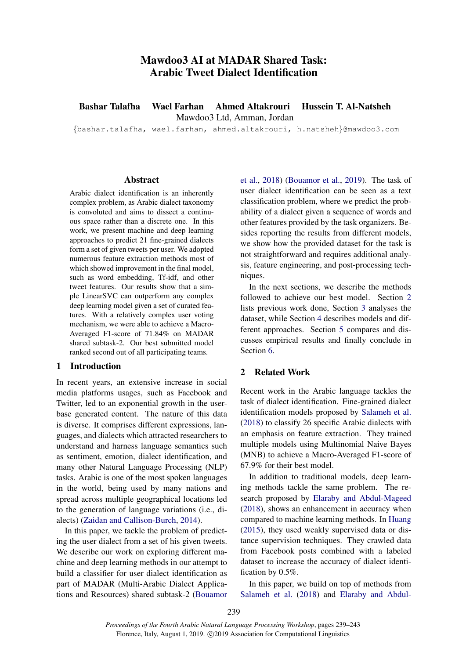# Mawdoo3 AI at MADAR Shared Task: Arabic Tweet Dialect Identification

Bashar Talafha Wael Farhan Ahmed Altakrouri Hussein T. Al-Natsheh Mawdoo3 Ltd, Amman, Jordan

{bashar.talafha, wael.farhan, ahmed.altakrouri, h.natsheh}@mawdoo3.com

#### Abstract

Arabic dialect identification is an inherently complex problem, as Arabic dialect taxonomy is convoluted and aims to dissect a continuous space rather than a discrete one. In this work, we present machine and deep learning approaches to predict 21 fine-grained dialects form a set of given tweets per user. We adopted numerous feature extraction methods most of which showed improvement in the final model, such as word embedding, Tf-idf, and other tweet features. Our results show that a simple LinearSVC can outperform any complex deep learning model given a set of curated features. With a relatively complex user voting mechanism, we were able to achieve a Macro-Averaged F1-score of 71.84% on MADAR shared subtask-2. Our best submitted model ranked second out of all participating teams.

## 1 Introduction

In recent years, an extensive increase in social media platforms usages, such as Facebook and Twitter, led to an exponential growth in the userbase generated content. The nature of this data is diverse. It comprises different expressions, languages, and dialects which attracted researchers to understand and harness language semantics such as sentiment, emotion, dialect identification, and many other Natural Language Processing (NLP) tasks. Arabic is one of the most spoken languages in the world, being used by many nations and spread across multiple geographical locations led to the generation of language variations (i.e., dialects) [\(Zaidan and Callison-Burch,](#page-4-0) [2014\)](#page-4-0).

In this paper, we tackle the problem of predicting the user dialect from a set of his given tweets. We describe our work on exploring different machine and deep learning methods in our attempt to build a classifier for user dialect identification as part of MADAR (Multi-Arabic Dialect Applications and Resources) shared subtask-2 [\(Bouamor](#page-4-1)

[et al.,](#page-4-1) [2018\)](#page-4-1) [\(Bouamor et al.,](#page-4-2) [2019\)](#page-4-2). The task of user dialect identification can be seen as a text classification problem, where we predict the probability of a dialect given a sequence of words and other features provided by the task organizers. Besides reporting the results from different models, we show how the provided dataset for the task is not straightforward and requires additional analysis, feature engineering, and post-processing techniques.

In the next sections, we describe the methods followed to achieve our best model. Section [2](#page-0-0) lists previous work done, Section [3](#page-1-0) analyses the dataset, while Section [4](#page-1-1) describes models and different approaches. Section [5](#page-3-0) compares and discusses empirical results and finally conclude in Section [6.](#page-3-1)

## <span id="page-0-0"></span>2 Related Work

Recent work in the Arabic language tackles the task of dialect identification. Fine-grained dialect identification models proposed by [Salameh et al.](#page-4-3) [\(2018\)](#page-4-3) to classify 26 specific Arabic dialects with an emphasis on feature extraction. They trained multiple models using Multinomial Naive Bayes (MNB) to achieve a Macro-Averaged F1-score of 67.9% for their best model.

In addition to traditional models, deep learning methods tackle the same problem. The research proposed by [Elaraby and Abdul-Mageed](#page-4-4) [\(2018\)](#page-4-4), shows an enhancement in accuracy when compared to machine learning methods. In [Huang](#page-4-5) [\(2015\)](#page-4-5), they used weakly supervised data or distance supervision techniques. They crawled data from Facebook posts combined with a labeled dataset to increase the accuracy of dialect identification by 0.5%.

In this paper, we build on top of methods from [Salameh et al.](#page-4-3) [\(2018\)](#page-4-3) and [Elaraby and Abdul-](#page-4-4)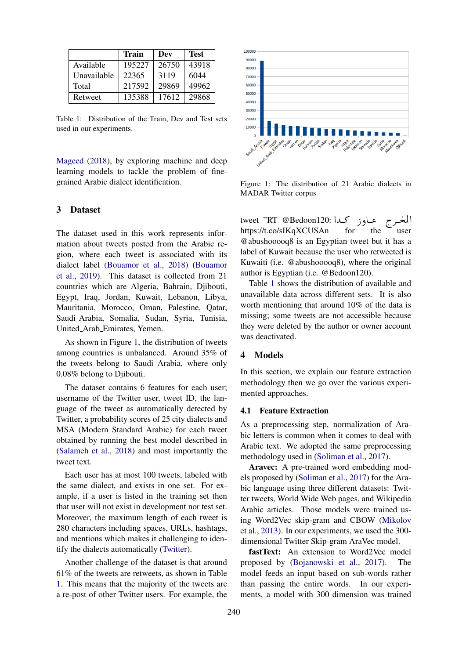<span id="page-1-3"></span>

|             | Train  | Dev   | <b>Test</b> |
|-------------|--------|-------|-------------|
| Available   | 195227 | 26750 | 43918       |
| Unavailable | 22365  | 3119  | 6044        |
| Total       | 217592 | 29869 | 49962       |
| Retweet     | 135388 | 17612 | 29868       |

Table 1: Distribution of the Train, Dev and Test sets used in our experiments.

[Mageed](#page-4-4) [\(2018\)](#page-4-4), by exploring machine and deep learning models to tackle the problem of finegrained Arabic dialect identification.

## <span id="page-1-0"></span>3 Dataset

The dataset used in this work represents information about tweets posted from the Arabic region, where each tweet is associated with its dialect label [\(Bouamor et al.,](#page-4-1) [2018\)](#page-4-1) [\(Bouamor](#page-4-2) [et al.,](#page-4-2) [2019\)](#page-4-2). This dataset is collected from 21 countries which are Algeria, Bahrain, Djibouti, Egypt, Iraq, Jordan, Kuwait, Lebanon, Libya, Mauritania, Morocco, Oman, Palestine, Qatar, Saudi Arabia, Somalia, Sudan, Syria, Tunisia, United Arab Emirates, Yemen.

As shown in Figure [1,](#page-1-2) the distribution of tweets among countries is unbalanced. Around 35% of the tweets belong to Saudi Arabia, where only 0.08% belong to Djibouti.

The dataset contains 6 features for each user; username of the Twitter user, tweet ID, the language of the tweet as automatically detected by Twitter, a probability scores of 25 city dialects and MSA (Modern Standard Arabic) for each tweet obtained by running the best model described in [\(Salameh et al.,](#page-4-3) [2018\)](#page-4-3) and most importantly the tweet text.

Each user has at most 100 tweets, labeled with the same dialect, and exists in one set. For example, if a user is listed in the training set then that user will not exist in development nor test set. Moreover, the maximum length of each tweet is 280 characters including spaces, URLs, hashtags, and mentions which makes it challenging to identify the dialects automatically [\(Twitter\)](#page-4-6).

Another challenge of the dataset is that around 61% of the tweets are retweets, as shown in Table [1.](#page-1-3) This means that the majority of the tweets are a re-post of other Twitter users. For example, the

<span id="page-1-2"></span>

Figure 1: The distribution of 21 Arabic dialects in MADAR Twitter corpus

م عاوز کدا :tweet "RT @Bedoon120 المغ  $\overline{a}$ https://t.co/sIKqXCUSAn for the user @abushooooq8 is an Egyptian tweet but it has a label of Kuwait because the user who retweeted is Kuwaiti (i.e. @abushooooq8), where the original author is Egyptian (i.e. @Bedoon120).

Table [1](#page-1-3) shows the distribution of available and unavailable data across different sets. It is also worth mentioning that around 10% of the data is missing; some tweets are not accessible because they were deleted by the author or owner account was deactivated.

#### <span id="page-1-1"></span>4 Models

In this section, we explain our feature extraction methodology then we go over the various experimented approaches.

## 4.1 Feature Extraction

As a preprocessing step, normalization of Arabic letters is common when it comes to deal with Arabic text. We adopted the same preprocessing methodology used in [\(Soliman et al.,](#page-4-7) [2017\)](#page-4-7).

Aravec: A pre-trained word embedding models proposed by [\(Soliman et al.,](#page-4-7) [2017\)](#page-4-7) for the Arabic language using three different datasets: Twitter tweets, World Wide Web pages, and Wikipedia Arabic articles. Those models were trained using Word2Vec skip-gram and CBOW [\(Mikolov](#page-4-8) [et al.,](#page-4-8) [2013\)](#page-4-8). In our experiments, we used the 300 dimensional Twitter Skip-gram AraVec model.

fastText: An extension to Word2Vec model proposed by [\(Bojanowski et al.,](#page-4-9) [2017\)](#page-4-9). The model feeds an input based on sub-words rather than passing the entire words. In our experiments, a model with 300 dimension was trained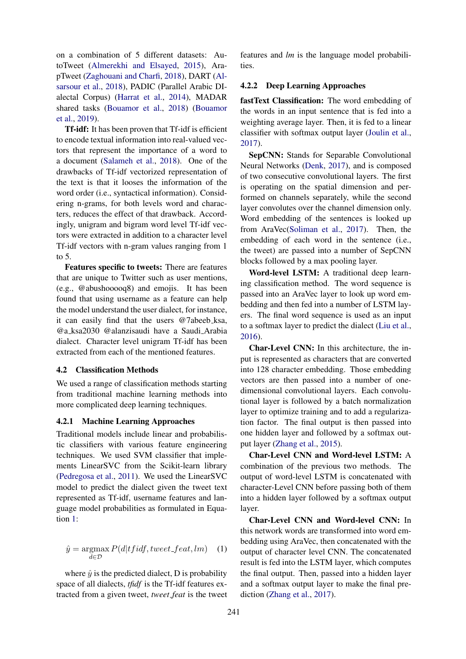on a combination of 5 different datasets: AutoTweet [\(Almerekhi and Elsayed,](#page-4-10) [2015\)](#page-4-10), ArapTweet [\(Zaghouani and Charfi,](#page-4-11) [2018\)](#page-4-11), DART [\(Al](#page-4-12)[sarsour et al.,](#page-4-12) [2018\)](#page-4-12), PADIC (Parallel Arabic DIalectal Corpus) [\(Harrat et al.,](#page-4-13) [2014\)](#page-4-13), MADAR shared tasks [\(Bouamor et al.,](#page-4-1) [2018\)](#page-4-1) [\(Bouamor](#page-4-2) [et al.,](#page-4-2) [2019\)](#page-4-2).

Tf-idf: It has been proven that Tf-idf is efficient to encode textual information into real-valued vectors that represent the importance of a word to a document [\(Salameh et al.,](#page-4-3) [2018\)](#page-4-3). One of the drawbacks of Tf-idf vectorized representation of the text is that it looses the information of the word order (i.e., syntactical information). Considering n-grams, for both levels word and characters, reduces the effect of that drawback. Accordingly, unigram and bigram word level Tf-idf vectors were extracted in addition to a character level Tf-idf vectors with n-gram values ranging from 1 to 5.

Features specific to tweets: There are features that are unique to Twitter such as user mentions, (e.g., @abushooooq8) and emojis. It has been found that using username as a feature can help the model understand the user dialect, for instance, it can easily find that the users @7abeeb ksa, @a ksa2030 @alanzisaudi have a Saudi Arabia dialect. Character level unigram Tf-idf has been extracted from each of the mentioned features.

## 4.2 Classification Methods

We used a range of classification methods starting from traditional machine learning methods into more complicated deep learning techniques.

#### 4.2.1 Machine Learning Approaches

Traditional models include linear and probabilistic classifiers with various feature engineering techniques. We used SVM classifier that implements LinearSVC from the Scikit-learn library [\(Pedregosa et al.,](#page-4-14) [2011\)](#page-4-14). We used the LinearSVC model to predict the dialect given the tweet text represented as Tf-idf, username features and language model probabilities as formulated in Equation [1:](#page-2-0)

<span id="page-2-0"></span>
$$
\hat{y} = \underset{d \in \mathcal{D}}{\operatorname{argmax}} P(d|tfidf, tweet\_feat, lm) \quad (1)
$$

where  $\hat{y}$  is the predicted dialect, D is probability space of all dialects, *tfidf* is the Tf-idf features extracted from a given tweet, *tweet feat* is the tweet

features and *lm* is the language model probabilities.

#### 4.2.2 Deep Learning Approaches

fastText Classification: The word embedding of the words in an input sentence that is fed into a weighting average layer. Then, it is fed to a linear classifier with softmax output layer [\(Joulin et al.,](#page-4-15) [2017\)](#page-4-15).

SepCNN: Stands for Separable Convolutional Neural Networks [\(Denk,](#page-4-16) [2017\)](#page-4-16), and is composed of two consecutive convolutional layers. The first is operating on the spatial dimension and performed on channels separately, while the second layer convolutes over the channel dimension only. Word embedding of the sentences is looked up from AraVec[\(Soliman et al.,](#page-4-7) [2017\)](#page-4-7). Then, the embedding of each word in the sentence (i.e., the tweet) are passed into a number of SepCNN blocks followed by a max pooling layer.

Word-level LSTM: A traditional deep learning classification method. The word sequence is passed into an AraVec layer to look up word embedding and then fed into a number of LSTM layers. The final word sequence is used as an input to a softmax layer to predict the dialect [\(Liu et al.,](#page-4-17) [2016\)](#page-4-17).

Char-Level CNN: In this architecture, the input is represented as characters that are converted into 128 character embedding. Those embedding vectors are then passed into a number of onedimensional convolutional layers. Each convolutional layer is followed by a batch normalization layer to optimize training and to add a regularization factor. The final output is then passed into one hidden layer and followed by a softmax output layer [\(Zhang et al.,](#page-4-18) [2015\)](#page-4-18).

Char-Level CNN and Word-level LSTM: A combination of the previous two methods. The output of word-level LSTM is concatenated with character-Level CNN before passing both of them into a hidden layer followed by a softmax output layer.

Char-Level CNN and Word-level CNN: In this network words are transformed into word embedding using AraVec, then concatenated with the output of character level CNN. The concatenated result is fed into the LSTM layer, which computes the final output. Then, passed into a hidden layer and a softmax output layer to make the final prediction [\(Zhang et al.,](#page-4-19) [2017\)](#page-4-19).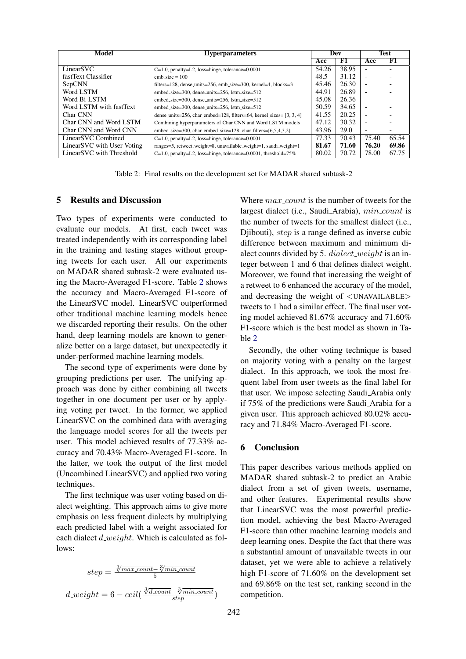<span id="page-3-2"></span>

| Model                                  | <b>Hyperparameters</b>                                                 | Dev   |       | Test                     |                          |
|----------------------------------------|------------------------------------------------------------------------|-------|-------|--------------------------|--------------------------|
|                                        |                                                                        | Acc   | F1    | Acc                      | F1                       |
| LinearSVC                              | $C=1.0$ , penalty=L2, loss=hinge, tolerance=0.0001                     | 54.26 | 38.95 | $\overline{\phantom{a}}$ | ۰                        |
| fastText Classifier                    | $emb_size = 100$                                                       | 48.5  | 31.12 | $\overline{\phantom{0}}$ | ÷                        |
| SepCNN                                 | $filters=128$ , dense_units=256, emb_size=300, kernel=4, blocks=3      | 45.46 | 26.30 | $\overline{\phantom{0}}$ | -                        |
| Word LSTM                              | embed_size=300, dense_units=256, lstm_size=512                         | 44.91 | 26.89 | $\overline{\phantom{a}}$ |                          |
| Word Bi-LSTM                           | embed_size=300, dense_units=256, lstm_size=512                         | 45.08 | 26.36 |                          | -                        |
| Word LSTM with fastText                | embed_size=300, dense_units=256, lstm_size=512                         | 50.59 | 34.65 | $\overline{\phantom{a}}$ | -                        |
| Char CNN                               | dense units=256, char_embed=128, filters=64, kernel_sizes= $[3, 3, 4]$ | 41.55 | 20.25 |                          | -                        |
| Char CNN and Word LSTM                 | Combining hyperparameters of Char CNN and Word LSTM models             | 47.12 | 30.32 | $\overline{\phantom{0}}$ | -                        |
| Char CNN and Word CNN                  | embed_size=300, char_embed_size=128, char_filters= $[6,5,4,3,2]$       | 43.96 | 29.0  | $\overline{\phantom{0}}$ | $\overline{\phantom{0}}$ |
| LinearSVC Combined                     | C=1.0, penalty=L2, loss=hinge, tolerance=0.0001                        | 77.33 | 70.43 | 75.40                    | 65.54                    |
| Linear <sub>SVC</sub> with User Voting | ranges=5, retweet_weight=8, unavailable_weight=1, saudi_weight=1       | 81.67 | 71.60 | 76.20                    | 69.86                    |
| LinearSVC with Threshold               | $C=1.0$ , penalty=L2, loss=hinge, tolerance=0.0001, threshold=75%      | 80.02 | 70.72 | 78.00                    | 67.75                    |

Table 2: Final results on the development set for MADAR shared subtask-2

## <span id="page-3-0"></span>5 Results and Discussion

Two types of experiments were conducted to evaluate our models. At first, each tweet was treated independently with its corresponding label in the training and testing stages without grouping tweets for each user. All our experiments on MADAR shared subtask-2 were evaluated using the Macro-Averaged F1-score. Table [2](#page-3-2) shows the accuracy and Macro-Averaged F1-score of the LinearSVC model. LinearSVC outperformed other traditional machine learning models hence we discarded reporting their results. On the other hand, deep learning models are known to generalize better on a large dataset, but unexpectedly it under-performed machine learning models.

The second type of experiments were done by grouping predictions per user. The unifying approach was done by either combining all tweets together in one document per user or by applying voting per tweet. In the former, we applied LinearSVC on the combined data with averaging the language model scores for all the tweets per user. This model achieved results of 77.33% accuracy and 70.43% Macro-Averaged F1-score. In the latter, we took the output of the first model (Uncombined LinearSVC) and applied two voting techniques.

The first technique was user voting based on dialect weighting. This approach aims to give more emphasis on less frequent dialects by multiplying each predicted label with a weight associated for each dialect  $d$  weight. Which is calculated as follows:

$$
step = \frac{\sqrt[3]{max\_count} - \sqrt[3]{min\_count}}{5}
$$

$$
d\_weight = 6 - ceil(\frac{\sqrt[3]{d\_count} - \sqrt[3]{min\_count}}{step})
$$

Where  $max_{\text{1}}$  count is the number of tweets for the largest dialect (i.e., Saudi<sub>-Arabia</sub>), min<sub>-count</sub> is the number of tweets for the smallest dialect (i.e., Djibouti), step is a range defined as inverse cubic difference between maximum and minimum dialect counts divided by 5.  $dialect\_weight$  is an integer between 1 and 6 that defines dialect weight. Moreover, we found that increasing the weight of a retweet to 6 enhanced the accuracy of the model, and decreasing the weight of <UNAVAILABLE> tweets to 1 had a similar effect. The final user voting model achieved 81.67% accuracy and 71.60% F1-score which is the best model as shown in Table [2](#page-3-2)

Secondly, the other voting technique is based on majority voting with a penalty on the largest dialect. In this approach, we took the most frequent label from user tweets as the final label for that user. We impose selecting Saudi Arabia only if 75% of the predictions were Saudi Arabia for a given user. This approach achieved 80.02% accuracy and 71.84% Macro-Averaged F1-score.

#### <span id="page-3-1"></span>6 Conclusion

This paper describes various methods applied on MADAR shared subtask-2 to predict an Arabic dialect from a set of given tweets, username, and other features. Experimental results show that LinearSVC was the most powerful prediction model, achieving the best Macro-Averaged F1-score than other machine learning models and deep learning ones. Despite the fact that there was a substantial amount of unavailable tweets in our dataset, yet we were able to achieve a relatively high F1-score of 71.60% on the development set and 69.86% on the test set, ranking second in the competition.